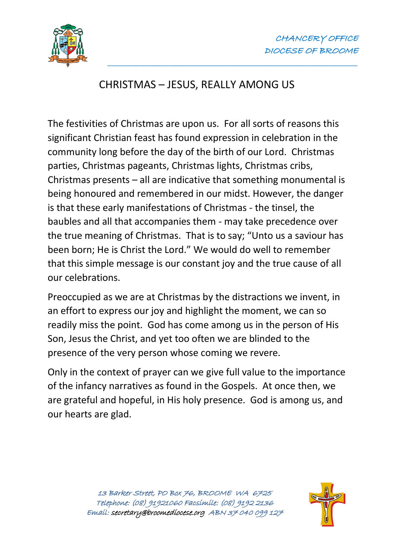

## CHRISTMAS – JESUS, REALLY AMONG US

\_\_\_\_\_\_\_\_\_\_\_\_\_\_\_\_\_\_\_\_\_\_\_\_\_\_\_\_\_\_\_\_\_\_\_\_\_\_\_\_\_\_\_\_\_\_\_\_\_\_\_\_\_\_\_\_\_\_\_\_\_\_\_\_\_\_\_\_\_

The festivities of Christmas are upon us. For all sorts of reasons this significant Christian feast has found expression in celebration in the community long before the day of the birth of our Lord. Christmas parties, Christmas pageants, Christmas lights, Christmas cribs, Christmas presents – all are indicative that something monumental is being honoured and remembered in our midst. However, the danger is that these early manifestations of Christmas - the tinsel, the baubles and all that accompanies them - may take precedence over the true meaning of Christmas. That is to say; "Unto us a saviour has been born; He is Christ the Lord." We would do well to remember that this simple message is our constant joy and the true cause of all our celebrations.

Preoccupied as we are at Christmas by the distractions we invent, in an effort to express our joy and highlight the moment, we can so readily miss the point. God has come among us in the person of His Son, Jesus the Christ, and yet too often we are blinded to the presence of the very person whose coming we revere.

Only in the context of prayer can we give full value to the importance of the infancy narratives as found in the Gospels. At once then, we are grateful and hopeful, in His holy presence. God is among us, and our hearts are glad.

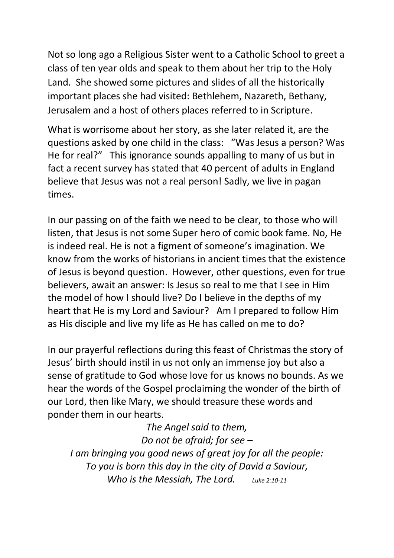Not so long ago a Religious Sister went to a Catholic School to greet a class of ten year olds and speak to them about her trip to the Holy Land. She showed some pictures and slides of all the historically important places she had visited: Bethlehem, Nazareth, Bethany, Jerusalem and a host of others places referred to in Scripture.

What is worrisome about her story, as she later related it, are the questions asked by one child in the class: "Was Jesus a person? Was He for real?" This ignorance sounds appalling to many of us but in fact a recent survey has stated that 40 percent of adults in England believe that Jesus was not a real person! Sadly, we live in pagan times.

In our passing on of the faith we need to be clear, to those who will listen, that Jesus is not some Super hero of comic book fame. No, He is indeed real. He is not a figment of someone's imagination. We know from the works of historians in ancient times that the existence of Jesus is beyond question. However, other questions, even for true believers, await an answer: Is Jesus so real to me that I see in Him the model of how I should live? Do I believe in the depths of my heart that He is my Lord and Saviour? Am I prepared to follow Him as His disciple and live my life as He has called on me to do?

In our prayerful reflections during this feast of Christmas the story of Jesus' birth should instil in us not only an immense joy but also a sense of gratitude to God whose love for us knows no bounds. As we hear the words of the Gospel proclaiming the wonder of the birth of our Lord, then like Mary, we should treasure these words and ponder them in our hearts.

*The Angel said to them, Do not be afraid; for see – I am bringing you good news of great joy for all the people: To you is born this day in the city of David a Saviour, Who is the Messiah, The Lord. Luke 2:10-11*